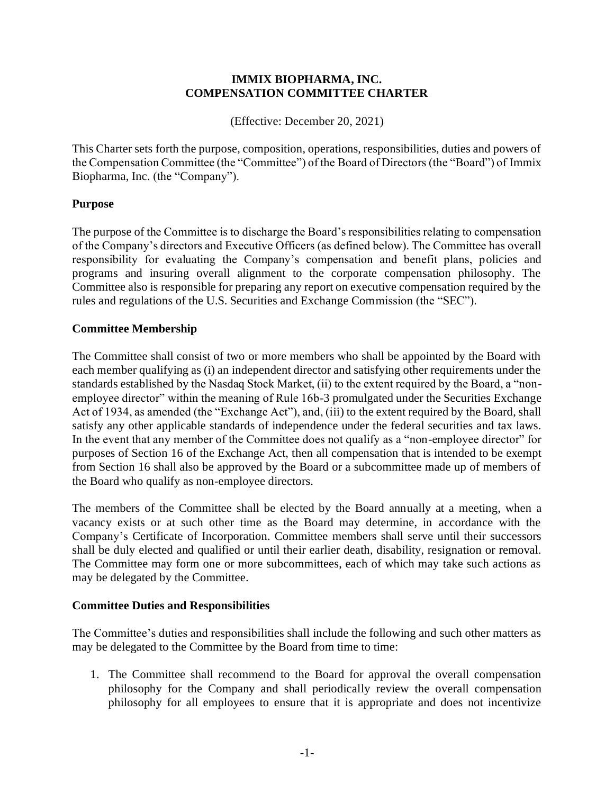#### **IMMIX BIOPHARMA, INC. COMPENSATION COMMITTEE CHARTER**

(Effective: December 20, 2021)

This Charter sets forth the purpose, composition, operations, responsibilities, duties and powers of the Compensation Committee (the "Committee") of the Board of Directors (the "Board") of Immix Biopharma, Inc. (the "Company").

# **Purpose**

The purpose of the Committee is to discharge the Board's responsibilities relating to compensation of the Company's directors and Executive Officers (as defined below). The Committee has overall responsibility for evaluating the Company's compensation and benefit plans, policies and programs and insuring overall alignment to the corporate compensation philosophy. The Committee also is responsible for preparing any report on executive compensation required by the rules and regulations of the U.S. Securities and Exchange Commission (the "SEC").

#### **Committee Membership**

The Committee shall consist of two or more members who shall be appointed by the Board with each member qualifying as (i) an independent director and satisfying other requirements under the standards established by the Nasdaq Stock Market, (ii) to the extent required by the Board, a "nonemployee director" within the meaning of Rule 16b-3 promulgated under the Securities Exchange Act of 1934, as amended (the "Exchange Act"), and, (iii) to the extent required by the Board, shall satisfy any other applicable standards of independence under the federal securities and tax laws. In the event that any member of the Committee does not qualify as a "non-employee director" for purposes of Section 16 of the Exchange Act, then all compensation that is intended to be exempt from Section 16 shall also be approved by the Board or a subcommittee made up of members of the Board who qualify as non-employee directors.

The members of the Committee shall be elected by the Board annually at a meeting, when a vacancy exists or at such other time as the Board may determine, in accordance with the Company's Certificate of Incorporation. Committee members shall serve until their successors shall be duly elected and qualified or until their earlier death, disability, resignation or removal. The Committee may form one or more subcommittees, each of which may take such actions as may be delegated by the Committee.

# **Committee Duties and Responsibilities**

The Committee's duties and responsibilities shall include the following and such other matters as may be delegated to the Committee by the Board from time to time:

1. The Committee shall recommend to the Board for approval the overall compensation philosophy for the Company and shall periodically review the overall compensation philosophy for all employees to ensure that it is appropriate and does not incentivize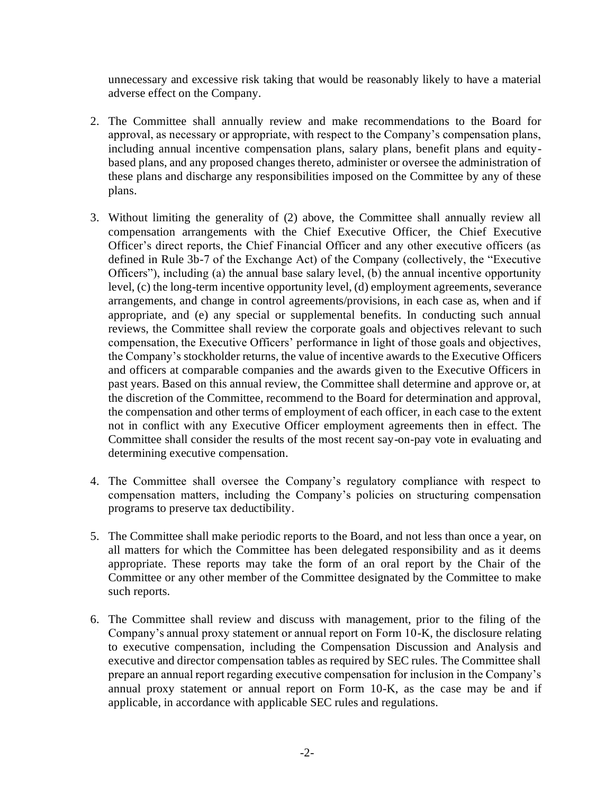unnecessary and excessive risk taking that would be reasonably likely to have a material adverse effect on the Company.

- 2. The Committee shall annually review and make recommendations to the Board for approval, as necessary or appropriate, with respect to the Company's compensation plans, including annual incentive compensation plans, salary plans, benefit plans and equitybased plans, and any proposed changes thereto, administer or oversee the administration of these plans and discharge any responsibilities imposed on the Committee by any of these plans.
- 3. Without limiting the generality of (2) above, the Committee shall annually review all compensation arrangements with the Chief Executive Officer, the Chief Executive Officer's direct reports, the Chief Financial Officer and any other executive officers (as defined in Rule 3b-7 of the Exchange Act) of the Company (collectively, the "Executive Officers"), including (a) the annual base salary level, (b) the annual incentive opportunity level, (c) the long-term incentive opportunity level, (d) employment agreements, severance arrangements, and change in control agreements/provisions, in each case as, when and if appropriate, and (e) any special or supplemental benefits. In conducting such annual reviews, the Committee shall review the corporate goals and objectives relevant to such compensation, the Executive Officers' performance in light of those goals and objectives, the Company's stockholder returns, the value of incentive awards to the Executive Officers and officers at comparable companies and the awards given to the Executive Officers in past years. Based on this annual review, the Committee shall determine and approve or, at the discretion of the Committee, recommend to the Board for determination and approval, the compensation and other terms of employment of each officer, in each case to the extent not in conflict with any Executive Officer employment agreements then in effect. The Committee shall consider the results of the most recent say-on-pay vote in evaluating and determining executive compensation.
- 4. The Committee shall oversee the Company's regulatory compliance with respect to compensation matters, including the Company's policies on structuring compensation programs to preserve tax deductibility.
- 5. The Committee shall make periodic reports to the Board, and not less than once a year, on all matters for which the Committee has been delegated responsibility and as it deems appropriate. These reports may take the form of an oral report by the Chair of the Committee or any other member of the Committee designated by the Committee to make such reports.
- 6. The Committee shall review and discuss with management, prior to the filing of the Company's annual proxy statement or annual report on Form 10-K, the disclosure relating to executive compensation, including the Compensation Discussion and Analysis and executive and director compensation tables as required by SEC rules. The Committee shall prepare an annual report regarding executive compensation for inclusion in the Company's annual proxy statement or annual report on Form 10-K, as the case may be and if applicable, in accordance with applicable SEC rules and regulations.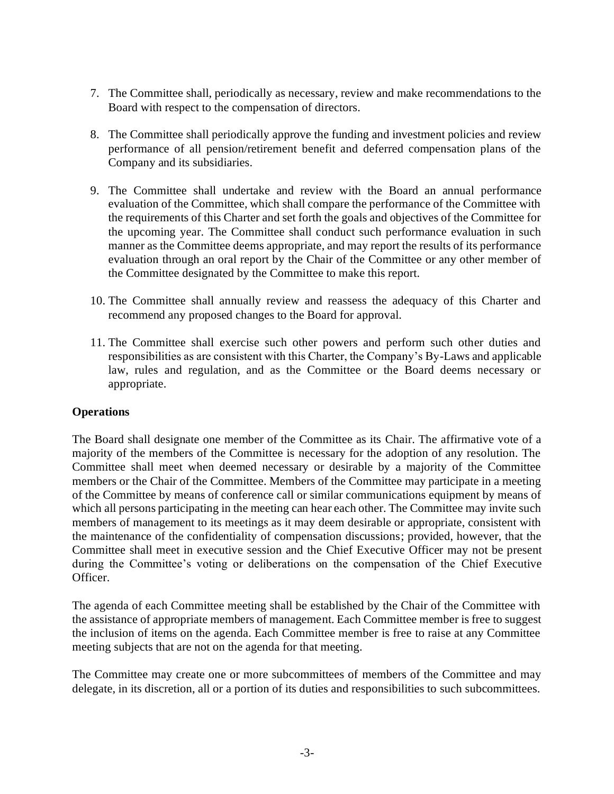- 7. The Committee shall, periodically as necessary, review and make recommendations to the Board with respect to the compensation of directors.
- 8. The Committee shall periodically approve the funding and investment policies and review performance of all pension/retirement benefit and deferred compensation plans of the Company and its subsidiaries.
- 9. The Committee shall undertake and review with the Board an annual performance evaluation of the Committee, which shall compare the performance of the Committee with the requirements of this Charter and set forth the goals and objectives of the Committee for the upcoming year. The Committee shall conduct such performance evaluation in such manner as the Committee deems appropriate, and may report the results of its performance evaluation through an oral report by the Chair of the Committee or any other member of the Committee designated by the Committee to make this report.
- 10. The Committee shall annually review and reassess the adequacy of this Charter and recommend any proposed changes to the Board for approval.
- 11. The Committee shall exercise such other powers and perform such other duties and responsibilities as are consistent with this Charter, the Company's By-Laws and applicable law, rules and regulation, and as the Committee or the Board deems necessary or appropriate.

# **Operations**

The Board shall designate one member of the Committee as its Chair. The affirmative vote of a majority of the members of the Committee is necessary for the adoption of any resolution. The Committee shall meet when deemed necessary or desirable by a majority of the Committee members or the Chair of the Committee. Members of the Committee may participate in a meeting of the Committee by means of conference call or similar communications equipment by means of which all persons participating in the meeting can hear each other. The Committee may invite such members of management to its meetings as it may deem desirable or appropriate, consistent with the maintenance of the confidentiality of compensation discussions; provided, however, that the Committee shall meet in executive session and the Chief Executive Officer may not be present during the Committee's voting or deliberations on the compensation of the Chief Executive Officer.

The agenda of each Committee meeting shall be established by the Chair of the Committee with the assistance of appropriate members of management. Each Committee member is free to suggest the inclusion of items on the agenda. Each Committee member is free to raise at any Committee meeting subjects that are not on the agenda for that meeting.

The Committee may create one or more subcommittees of members of the Committee and may delegate, in its discretion, all or a portion of its duties and responsibilities to such subcommittees.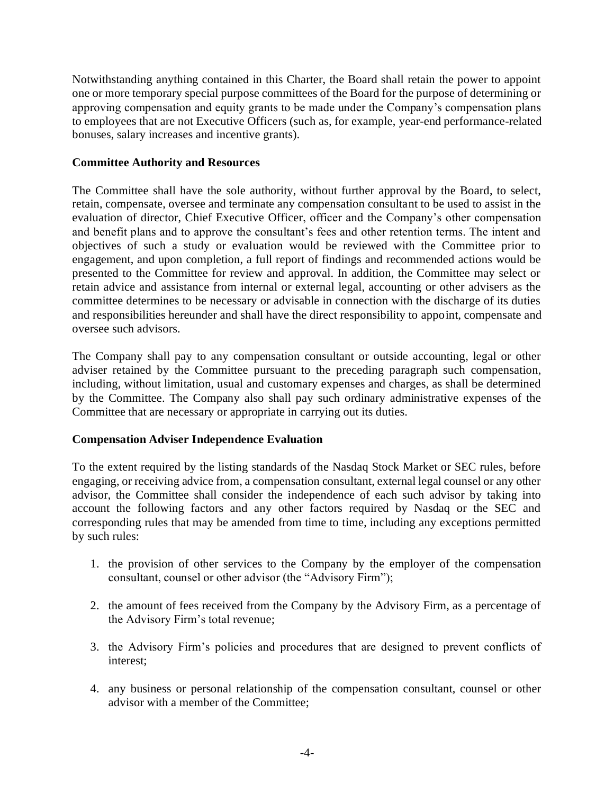Notwithstanding anything contained in this Charter, the Board shall retain the power to appoint one or more temporary special purpose committees of the Board for the purpose of determining or approving compensation and equity grants to be made under the Company's compensation plans to employees that are not Executive Officers (such as, for example, year-end performance-related bonuses, salary increases and incentive grants).

### **Committee Authority and Resources**

The Committee shall have the sole authority, without further approval by the Board, to select, retain, compensate, oversee and terminate any compensation consultant to be used to assist in the evaluation of director, Chief Executive Officer, officer and the Company's other compensation and benefit plans and to approve the consultant's fees and other retention terms. The intent and objectives of such a study or evaluation would be reviewed with the Committee prior to engagement, and upon completion, a full report of findings and recommended actions would be presented to the Committee for review and approval. In addition, the Committee may select or retain advice and assistance from internal or external legal, accounting or other advisers as the committee determines to be necessary or advisable in connection with the discharge of its duties and responsibilities hereunder and shall have the direct responsibility to appoint, compensate and oversee such advisors.

The Company shall pay to any compensation consultant or outside accounting, legal or other adviser retained by the Committee pursuant to the preceding paragraph such compensation, including, without limitation, usual and customary expenses and charges, as shall be determined by the Committee. The Company also shall pay such ordinary administrative expenses of the Committee that are necessary or appropriate in carrying out its duties.

# **Compensation Adviser Independence Evaluation**

To the extent required by the listing standards of the Nasdaq Stock Market or SEC rules, before engaging, or receiving advice from, a compensation consultant, external legal counsel or any other advisor, the Committee shall consider the independence of each such advisor by taking into account the following factors and any other factors required by Nasdaq or the SEC and corresponding rules that may be amended from time to time, including any exceptions permitted by such rules:

- 1. the provision of other services to the Company by the employer of the compensation consultant, counsel or other advisor (the "Advisory Firm");
- 2. the amount of fees received from the Company by the Advisory Firm, as a percentage of the Advisory Firm's total revenue;
- 3. the Advisory Firm's policies and procedures that are designed to prevent conflicts of interest;
- 4. any business or personal relationship of the compensation consultant, counsel or other advisor with a member of the Committee;